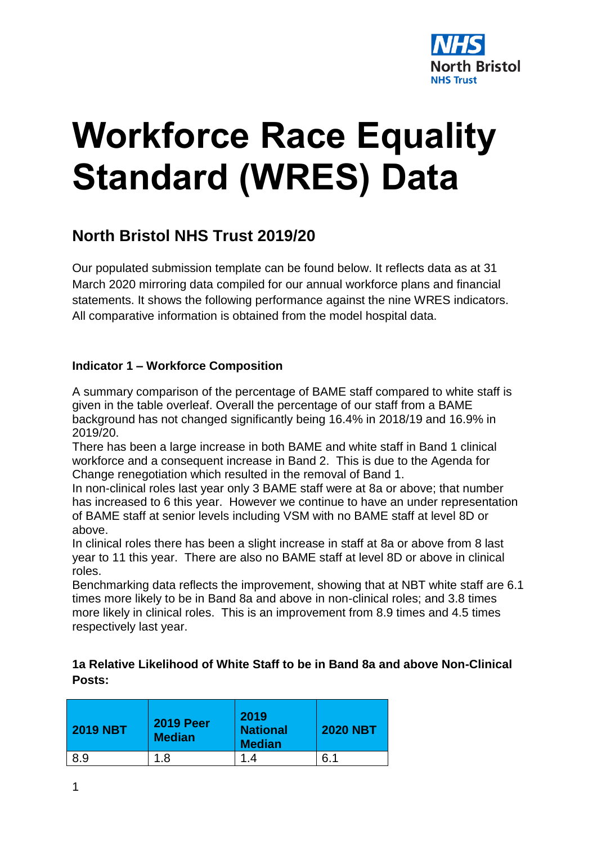

# **Workforce Race Equality Standard (WRES) Data**

## **North Bristol NHS Trust 2019/20**

Our populated submission template can be found below. It reflects data as at 31 March 2020 mirroring data compiled for our annual workforce plans and financial statements. It shows the following performance against the nine WRES indicators. All comparative information is obtained from the model hospital data.

#### **Indicator 1 – Workforce Composition**

A summary comparison of the percentage of BAME staff compared to white staff is given in the table overleaf. Overall the percentage of our staff from a BAME background has not changed significantly being 16.4% in 2018/19 and 16.9% in 2019/20.

There has been a large increase in both BAME and white staff in Band 1 clinical workforce and a consequent increase in Band 2. This is due to the Agenda for Change renegotiation which resulted in the removal of Band 1.

In non-clinical roles last year only 3 BAME staff were at 8a or above; that number has increased to 6 this year. However we continue to have an under representation of BAME staff at senior levels including VSM with no BAME staff at level 8D or above.

In clinical roles there has been a slight increase in staff at 8a or above from 8 last year to 11 this year. There are also no BAME staff at level 8D or above in clinical roles.

Benchmarking data reflects the improvement, showing that at NBT white staff are 6.1 times more likely to be in Band 8a and above in non-clinical roles; and 3.8 times more likely in clinical roles. This is an improvement from 8.9 times and 4.5 times respectively last year.

#### **1a Relative Likelihood of White Staff to be in Band 8a and above Non-Clinical Posts:**

| <b>2019 NBT</b> | <b>2019 Peer</b><br><b>Median</b> | 2019<br><b>National</b><br><b>Median</b> | <b>2020 NBT</b> |  |  |  |
|-----------------|-----------------------------------|------------------------------------------|-----------------|--|--|--|
| 8.9             | 1.8                               | -1<br>$\mathcal{A}$                      | 6.1             |  |  |  |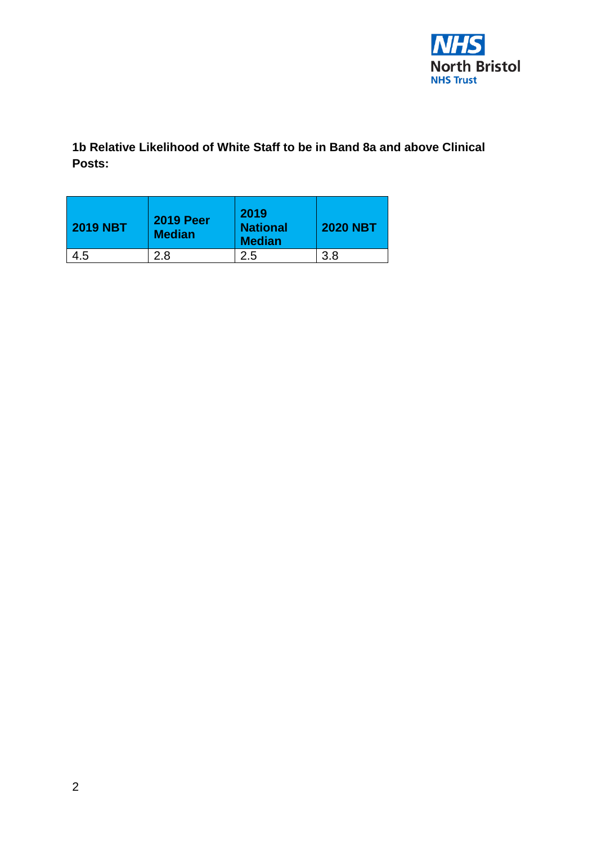

**1b Relative Likelihood of White Staff to be in Band 8a and above Clinical Posts:**

| <b>2019 NBT</b> | <b>2019 Peer</b><br><b>Median</b> | 2019<br><b>National</b><br><b>Median</b> | <b>2020 NBT</b> |  |  |  |
|-----------------|-----------------------------------|------------------------------------------|-----------------|--|--|--|
| 4.5             | 2.8                               | 2.5                                      | 3.8             |  |  |  |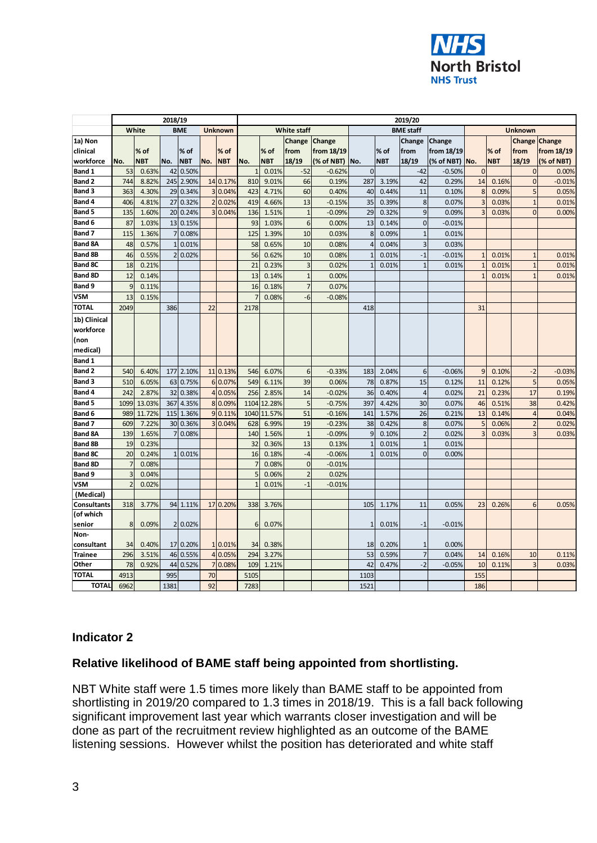

|                          | 2018/19         |                |      |            |                | 2019/20        |                                  |                |                                  |                   |                |            |                  |            |                |            |                      |            |
|--------------------------|-----------------|----------------|------|------------|----------------|----------------|----------------------------------|----------------|----------------------------------|-------------------|----------------|------------|------------------|------------|----------------|------------|----------------------|------------|
|                          |                 | White          |      | <b>BME</b> |                | <b>Unknown</b> |                                  |                | <b>White staff</b>               |                   |                |            | <b>BME</b> staff |            | <b>Unknown</b> |            |                      |            |
| 1a) Non                  |                 |                |      |            |                |                |                                  |                | Change                           | Change            |                |            | Change           | Change     |                |            | <b>Change Change</b> |            |
| clinical                 |                 | $%$ of         |      | % of       |                | $%$ of         |                                  | % of           | from                             | from 18/19        |                | % of       | from             | from 18/19 |                | % of       | from                 | from 18/19 |
| workforce                | No.             | <b>NBT</b>     | No.  | <b>NBT</b> | No.            | <b>NBT</b>     | No.                              | <b>NBT</b>     | 18/19                            | (% of NBT) No.    |                | <b>NBT</b> | 18/19            | (% of NBT) | No.            | <b>NBT</b> | 18/19                | (% of NBT) |
| <b>Band 1</b>            | 53              | 0.63%          | 42   | 0.50%      |                |                | $\mathbf{1}$                     | 0.01%          | $-52$                            | $-0.62%$          | $\mathbf{0}$   |            | $-42$            | $-0.50%$   | $\overline{0}$ |            | $\overline{0}$       | 0.00%      |
| Band 2                   | 744             | 8.82%          | 245  | 2.90%      |                | 14 0.17%       | 810                              | 9.01%          | 66                               | 0.19%             | 287            | 3.19%      | 42               | 0.29%      | 14             | 0.16%      | 0                    | $-0.01%$   |
| Band 3                   | 363             | 4.30%          | 29   | 0.34%      |                | 3 0.04%        | 423                              | 4.71%          | 60                               | 0.40%             | 40             | 0.44%      | 11               | 0.10%      | 8              | 0.09%      | 5                    | 0.05%      |
| Band 4                   | 406             | 4.81%          | 27   | 0.32%      | $\overline{2}$ | 0.02%          | 419                              | 4.66%          | 13                               | $-0.15%$          | 35             | 0.39%      | 8                | 0.07%      | 3              | 0.03%      | $\overline{1}$       | 0.01%      |
| Band 5                   | 135             | 1.60%          |      | 20 0.24%   |                | 3 0.04%        | 136                              | 1.51%          | $\overline{1}$                   | $-0.09%$          | 29             | 0.32%      | 9                | 0.09%      | 3              | 0.03%      | $\overline{0}$       | 0.00%      |
| Band 6                   | 87              | 1.03%          |      | 13 0.15%   |                |                | 93                               | 1.03%          | 6                                | 0.00%             | 13             | 0.14%      | $\mathbf{0}$     | $-0.01%$   |                |            |                      |            |
| Band 7                   | 115             | 1.36%          |      | 0.08%      |                |                | 125                              | 1.39%          | 10                               | 0.03%             | $\bf 8$        | 0.09%      | $\mathbf{1}$     | 0.01%      |                |            |                      |            |
| <b>Band 8A</b>           | 48              | 0.57%          |      | 0.01%      |                |                | 58                               | 0.65%          | 10                               | 0.08%             | $\overline{4}$ | 0.04%      | 3                | 0.03%      |                |            |                      |            |
| <b>Band 8B</b>           | 46              | 0.55%          |      | 0.02%      |                |                | 56                               | 0.62%          | 10                               | 0.08%             | $\mathbf 1$    | 0.01%      | $-1$             | $-0.01%$   | $\mathbf{1}$   | 0.01%      | $\mathbf{1}$         | 0.01%      |
| <b>Band 8C</b>           | 18              | 0.21%          |      |            |                |                | 21                               | 0.23%          | 3                                | 0.02%             | $\mathbf{1}$   | 0.01%      | $\overline{1}$   | 0.01%      |                | 0.01%      | $\mathbf{1}$         | 0.01%      |
| <b>Band 8D</b>           | 12              | 0.14%          |      |            |                |                | 13                               | 0.14%          | $\mathbf{1}$                     | 0.00%             |                |            |                  |            |                | 0.01%      | $\overline{1}$       | 0.01%      |
| Band 9                   | 9               | 0.11%          |      |            |                |                | 16                               | 0.18%          | $\overline{7}$                   | 0.07%             |                |            |                  |            |                |            |                      |            |
| <b>VSM</b>               | 13              | 0.15%          |      |            |                |                | $\overline{7}$                   | 0.08%          | $-6$                             | $-0.08%$          |                |            |                  |            |                |            |                      |            |
| <b>TOTAL</b>             | 2049            |                | 386  |            | 22             |                | 2178                             |                |                                  |                   | 418            |            |                  |            | 31             |            |                      |            |
| 1b) Clinical             |                 |                |      |            |                |                |                                  |                |                                  |                   |                |            |                  |            |                |            |                      |            |
| workforce                |                 |                |      |            |                |                |                                  |                |                                  |                   |                |            |                  |            |                |            |                      |            |
| (non                     |                 |                |      |            |                |                |                                  |                |                                  |                   |                |            |                  |            |                |            |                      |            |
| medical)                 |                 |                |      |            |                |                |                                  |                |                                  |                   |                |            |                  |            |                |            |                      |            |
| <b>Band 1</b>            |                 |                |      |            |                |                |                                  |                |                                  |                   |                |            |                  |            |                |            |                      |            |
| Band 2                   | 540             | 6.40%          | 177  | 2.10%      |                | 11 0.13%       | 546                              | 6.07%          | 6                                | $-0.33%$          | 183            | 2.04%      | 6                | $-0.06%$   | 9              | 0.10%      | $-2$                 | $-0.03%$   |
| Band 3                   | 510             | 6.05%          | 63   | 0.75%      |                | 6 0.07%        | 549                              | 6.11%          | 39                               | 0.06%             | 78             | 0.87%      | 15               | 0.12%      | 11             | 0.12%      | 5                    | 0.05%      |
| Band 4                   | 242             | 2.87%          | 32   | 0.38%      |                | 4 0.05%        | 256                              | 2.85%          | 14                               | $-0.02%$          | 36             | 0.40%      | $\overline{4}$   | 0.02%      | 21             | 0.23%      | 17                   | 0.19%      |
| Band 5                   | 1099            | 13.03%         | 367  | 4.35%      |                | 8 0.09%        | 1104                             | 12.28%         | 5                                | $-0.75%$          | 397            | 4.42%      | 30               | 0.07%      | 46             | 0.51%      | 38                   | 0.42%      |
| Band 6                   | 989             | 11.72%         |      | 115 1.36%  |                | 9 0.11%        |                                  | 1040 11.57%    | 51                               | $-0.16%$          | 141            | 1.57%      | 26               | 0.21%      | 13             | 0.14%      | $\overline{a}$       | 0.04%      |
| Band 7                   | 60 <sup>9</sup> | 7.22%          |      | 30 0.36%   |                | 3 0.04%        | 628                              | 6.99%          | 19                               | $-0.23%$          | 38             | 0.42%      | 8                | 0.07%      | 5              | 0.06%      | $\overline{c}$       | 0.02%      |
| <b>Band 8A</b>           | 139             | 1.65%          | 7    | 0.08%      |                |                | 140                              | 1.56%          | $\mathbf{1}$                     | $-0.09%$          | 9              | 0.10%      | $\overline{2}$   | 0.02%      | 3              | 0.03%      | 3                    | 0.03%      |
| <b>Band 8B</b>           | 19              | 0.23%          |      |            |                |                | 32                               | 0.36%          | 13                               | 0.13%             | $\mathbf 1$    | 0.01%      | $\mathbf{1}$     | 0.01%      |                |            |                      |            |
| <b>Band 8C</b>           | 20              | 0.24%          |      | 1 0.01%    |                |                | 16                               | 0.18%          | $-4$                             | $-0.06%$          | $\mathbf{1}$   | 0.01%      | $\Omega$         | 0.00%      |                |            |                      |            |
| <b>Band 8D</b><br>Band 9 |                 | 0.08%<br>0.04% |      |            |                |                | $\overline{7}$<br>5 <sup>1</sup> | 0.08%<br>0.06% | $\overline{0}$<br>$\overline{2}$ | $-0.01%$<br>0.02% |                |            |                  |            |                |            |                      |            |
| <b>VSM</b>               |                 | 0.02%          |      |            |                |                | $\mathbf{1}$                     | 0.01%          | $-1$                             | $-0.01%$          |                |            |                  |            |                |            |                      |            |
| (Medical)                |                 |                |      |            |                |                |                                  |                |                                  |                   |                |            |                  |            |                |            |                      |            |
| Consultants              | 318             | 3.77%          |      | 94 1.11%   |                | 17 0.20%       | 338                              | 3.76%          |                                  |                   | 105            | 1.17%      | 11               | 0.05%      | 23             | 0.26%      | 6                    | 0.05%      |
| (of which                |                 |                |      |            |                |                |                                  |                |                                  |                   |                |            |                  |            |                |            |                      |            |
| senior                   | 8               | 0.09%          |      | 2 0.02%    |                |                | 6                                | 0.07%          |                                  |                   | $\mathbf{1}$   | 0.01%      | $-1$             | $-0.01%$   |                |            |                      |            |
| Non-                     |                 |                |      |            |                |                |                                  |                |                                  |                   |                |            |                  |            |                |            |                      |            |
| consultant               | 34              | 0.40%          |      | 17 0.20%   |                | 1 0.01%        | 34                               | 0.38%          |                                  |                   | 18             | 0.20%      | $\mathbf{1}$     | 0.00%      |                |            |                      |            |
| <b>Trainee</b>           | 296             | 3.51%          |      | 46 0.55%   |                | 4 0.05%        | 294                              | 3.27%          |                                  |                   | 53             | 0.59%      | $\overline{7}$   | 0.04%      | 14             | 0.16%      | 10                   | 0.11%      |
| Other                    | 78              | 0.92%          | 44   | 0.52%      |                | 7 0.08%        | 109                              | 1.21%          |                                  |                   | 42             | 0.47%      | $-2$             | $-0.05%$   | 10             | 0.11%      | 3                    | 0.03%      |
| <b>TOTAL</b>             | 4913            |                | 995  |            | 70             |                | 5105                             |                |                                  |                   | 1103           |            |                  |            | 155            |            |                      |            |
| <b>TOTAL</b>             | 6962            |                | 1381 |            | 92             |                | 7283                             |                |                                  |                   | 1521           |            |                  |            | 186            |            |                      |            |

#### **Indicator 2**

#### **Relative likelihood of BAME staff being appointed from shortlisting.**

NBT White staff were 1.5 times more likely than BAME staff to be appointed from shortlisting in 2019/20 compared to 1.3 times in 2018/19. This is a fall back following significant improvement last year which warrants closer investigation and will be done as part of the recruitment review highlighted as an outcome of the BAME listening sessions. However whilst the position has deteriorated and white staff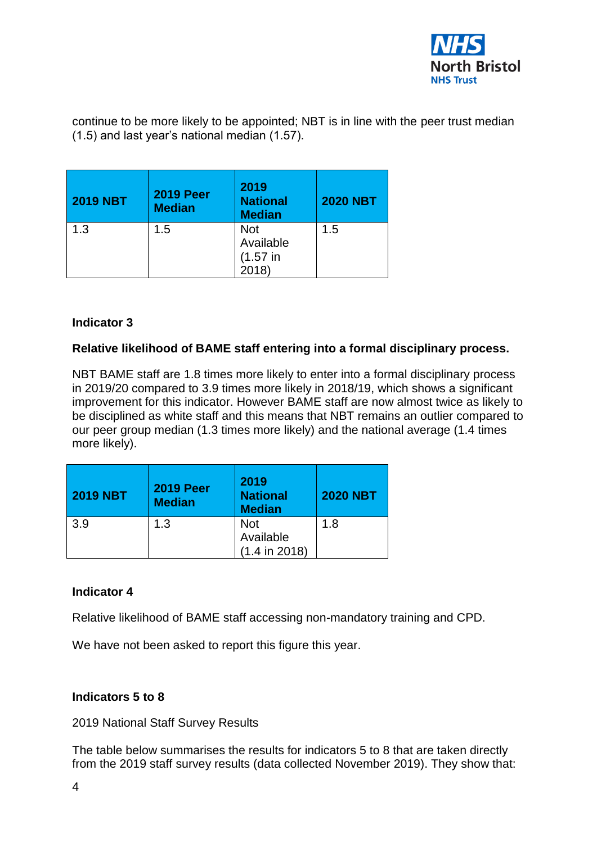

continue to be more likely to be appointed; NBT is in line with the peer trust median (1.5) and last year's national median (1.57).

| <b>2019 NBT</b> | <b>2019 Peer</b><br><b>Median</b> | 2019<br><b>National</b><br><b>Median</b>        | <b>2020 NBT</b> |  |  |
|-----------------|-----------------------------------|-------------------------------------------------|-----------------|--|--|
| 1.3             | 1.5                               | <b>Not</b><br>Available<br>$(1.57)$ in<br>2018) | 1.5             |  |  |

#### **Indicator 3**

#### **Relative likelihood of BAME staff entering into a formal disciplinary process.**

NBT BAME staff are 1.8 times more likely to enter into a formal disciplinary process in 2019/20 compared to 3.9 times more likely in 2018/19, which shows a significant improvement for this indicator. However BAME staff are now almost twice as likely to be disciplined as white staff and this means that NBT remains an outlier compared to our peer group median (1.3 times more likely) and the national average (1.4 times more likely).

| <b>2019 NBT</b> | <b>2019 Peer</b><br><b>Median</b> | 2019<br><b>National</b><br><b>Median</b>   | <b>2020 NBT</b> |  |  |
|-----------------|-----------------------------------|--------------------------------------------|-----------------|--|--|
| 3.9             | 1.3                               | <b>Not</b><br>Available<br>$(1.4$ in 2018) | 1.8             |  |  |

#### **Indicator 4**

Relative likelihood of BAME staff accessing non-mandatory training and CPD.

We have not been asked to report this figure this year.

#### **Indicators 5 to 8**

2019 National Staff Survey Results

The table below summarises the results for indicators 5 to 8 that are taken directly from the 2019 staff survey results (data collected November 2019). They show that: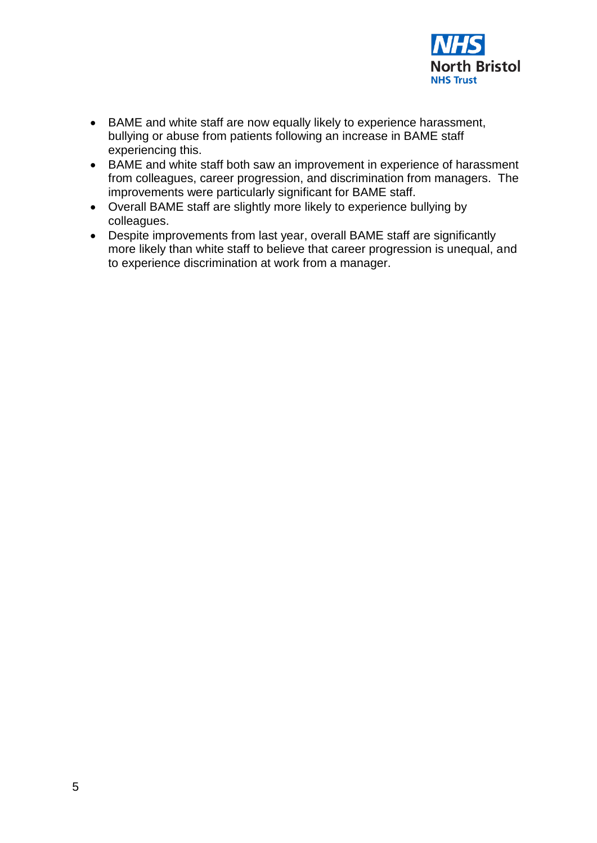

- BAME and white staff are now equally likely to experience harassment, bullying or abuse from patients following an increase in BAME staff experiencing this.
- BAME and white staff both saw an improvement in experience of harassment from colleagues, career progression, and discrimination from managers. The improvements were particularly significant for BAME staff.
- Overall BAME staff are slightly more likely to experience bullying by colleagues.
- Despite improvements from last year, overall BAME staff are significantly more likely than white staff to believe that career progression is unequal, and to experience discrimination at work from a manager.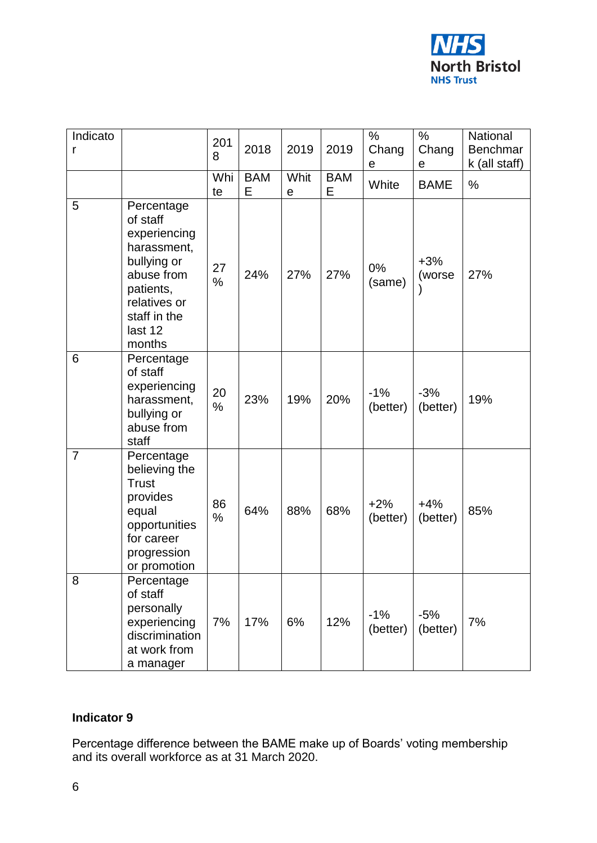

| Indicato<br>r  |                                                                                                                                                      | 201<br>8   | 2018            | 2019                | 2019            | %<br>Chang<br>е   | $\%$<br>Chang<br>е | National<br>Benchmar<br>k (all staff) |
|----------------|------------------------------------------------------------------------------------------------------------------------------------------------------|------------|-----------------|---------------------|-----------------|-------------------|--------------------|---------------------------------------|
|                |                                                                                                                                                      | Whi<br>te  | <b>BAM</b><br>E | Whit<br>$\mathbf e$ | <b>BAM</b><br>E | White             | <b>BAME</b>        | %                                     |
| 5              | Percentage<br>of staff<br>experiencing<br>harassment,<br>bullying or<br>abuse from<br>patients,<br>relatives or<br>staff in the<br>last 12<br>months | 27<br>%    | 24%             | 27%                 | 27%             | 0%<br>(same)      | $+3%$<br>(worse    | 27%                                   |
| 6              | Percentage<br>of staff<br>experiencing<br>harassment,<br>bullying or<br>abuse from<br>staff                                                          | 20<br>%    | 23%             | 19%                 | 20%             | $-1%$<br>(better) | $-3%$<br>(better)  | 19%                                   |
| $\overline{7}$ | Percentage<br>believing the<br><b>Trust</b><br>provides<br>equal<br>opportunities<br>for career<br>progression<br>or promotion                       | 86<br>$\%$ | 64%             | 88%                 | 68%             | $+2%$<br>(better) | $+4%$<br>(better)  | 85%                                   |
| 8              | Percentage<br>of staff<br>personally<br>experiencing<br>discrimination<br>at work from<br>a manager                                                  | 7%         | 17%             | 6%                  | 12%             | $-1%$<br>(better) | $-5%$<br>(better)  | 7%                                    |

### **Indicator 9**

Percentage difference between the BAME make up of Boards' voting membership and its overall workforce as at 31 March 2020.